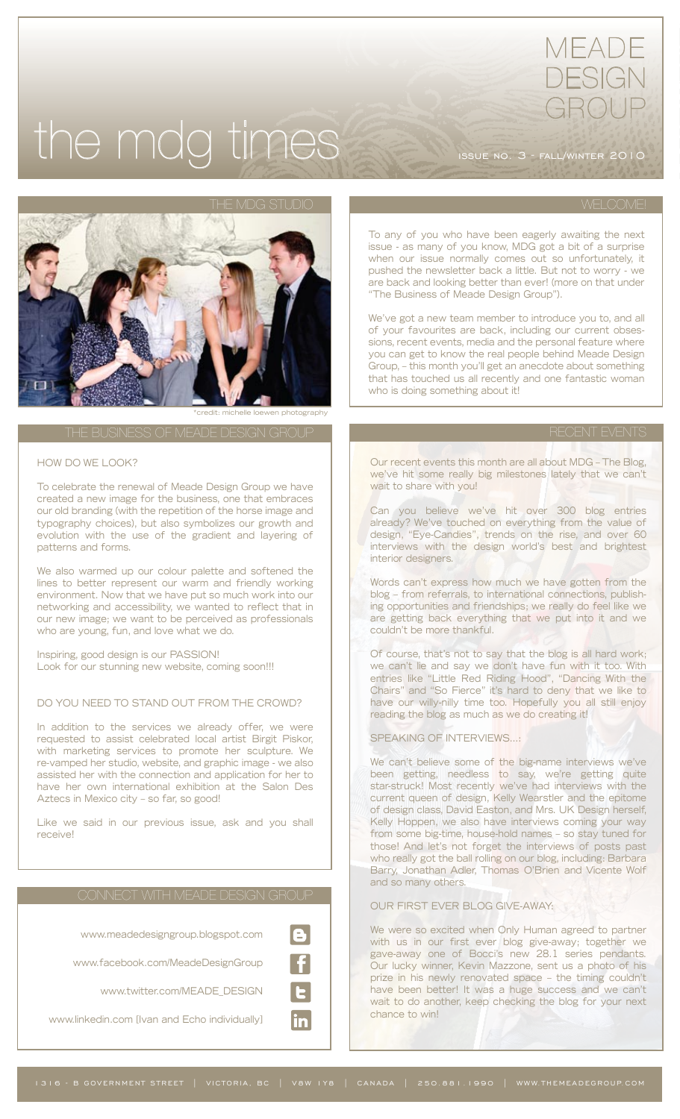# the mdg times issue no. 3 - fall/winter 2010

MEADE

DESIGN

GROUP



\*credit: michelle loewen photography

# HOW DO WE LOOK?

To celebrate the renewal of Meade Design Group we have created a new image for the business, one that embraces our old branding (with the repetition of the horse image and typography choices), but also symbolizes our growth and evolution with the use of the gradient and layering of patterns and forms.

We also warmed up our colour palette and softened the lines to better represent our warm and friendly working environment. Now that we have put so much work into our networking and accessibility, we wanted to reflect that in our new image; we want to be perceived as professionals who are young, fun, and love what we do.

Inspiring, good design is our PASSION! Look for our stunning new website, coming soon!!!

# DO YOU NEED TO STAND OUT FROM THE CROWD?

In addition to the services we already offer, we were requested to assist celebrated local artist Birgit Piskor, with marketing services to promote her sculpture. We re-vamped her studio, website, and graphic image - we also assisted her with the connection and application for her to have her own international exhibition at the Salon Des Aztecs in Mexico city – so far, so good!

Like we said in our previous issue, ask and you shall receive!



To any of you who have been eagerly awaiting the next issue - as many of you know, MDG got a bit of a surprise when our issue normally comes out so unfortunately, it pushed the newsletter back a little. But not to worry - we are back and looking better than ever! (more on that under "The Business of Meade Design Group").

We've got a new team member to introduce you to, and all of your favourites are back, including our current obsessions, recent events, media and the personal feature where you can get to know the real people behind Meade Design Group, – this month you'll get an anecdote about something that has touched us all recently and one fantastic woman who is doing something about it!

Our recent events this month are all about MDG – The Blog, we've hit some really big milestones lately that we can't wait to share with you!

Can you believe we've hit over 300 blog entries already? We've touched on everything from the value of design, "Eye-Candies", trends on the rise, and over 60 interviews with the design world's best and brightest interior designers.

Words can't express how much we have gotten from the blog – from referrals, to international connections, publishing opportunities and friendships; we really do feel like we are getting back everything that we put into it and we couldn't be more thankful.

Of course, that's not to say that the blog is all hard work; we can't lie and say we don't have fun with it too. With entries like "Little Red Riding Hood", "Dancing With the Chairs" and "So Fierce" it's hard to deny that we like to have our willy-nilly time too. Hopefully you all still enjoy reading the blog as much as we do creating it!

SPEAKING OF INTERVIEWS…:

We can't believe some of the big-name interviews we've been getting, needless to say, we're getting quite star-struck! Most recently we've had interviews with the current queen of design, Kelly Wearstler and the epitome of design class, David Easton, and Mrs. UK Design herself, Kelly Hoppen, we also have interviews coming your way from some big-time, house-hold names – so stay tuned for those! And let's not forget the interviews of posts past who really got the ball rolling on our blog, including: Barbara Barry, Jonathan Adler, Thomas O'Brien and Vicente Wolf and so many others.

# OUR FIRST EVER BLOG GIVE-AWAY:

We were so excited when Only Human agreed to partner with us in our first ever blog give-away; together we gave-away one of Bocci's new 28.1 series pendants. Our lucky winner, Kevin Mazzone, sent us a photo of his prize in his newly renovated space – the timing couldn't have been better! It was a huge success and we can't wait to do another, keep checking the blog for your next chance to win!